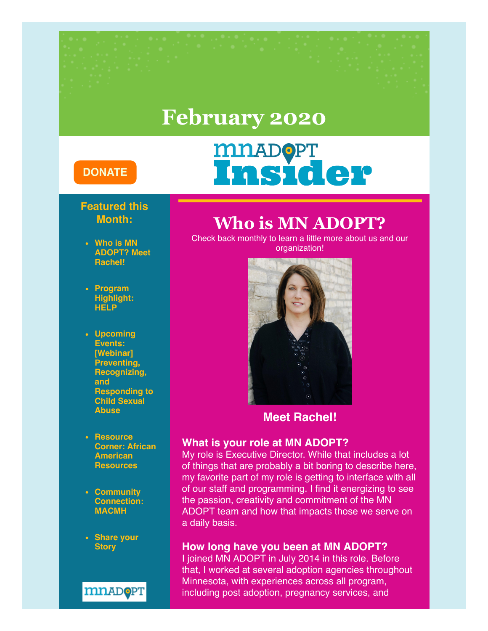# **February 2020**

### **[DONATE](https://donatenow.networkforgood.org/mnadopt)**

# **MILADOPT**<br>Insider

### **Featured this Month:**

- **Who is MN ADOPT? Meet Rachel!**
- **Program Highlight: HELP**
- **Upcoming Events: [Webinar] Preventing, Recognizing, and Responding to Child Sexual Abuse**
- **Resource Corner: African American Resources**
- **Community Connection: MACMH**
- **Share your Story**



## **Who is MN ADOPT?**

Check back monthly to learn a little more about us and our organization!



### **Meet Rachel!**

#### **What is your role at MN ADOPT?**

My role is Executive Director. While that includes a lot of things that are probably a bit boring to describe here, my favorite part of my role is getting to interface with all of our staff and programming. I find it energizing to see the passion, creativity and commitment of the MN ADOPT team and how that impacts those we serve on a daily basis.

### **How long have you been at MN ADOPT?**

I joined MN ADOPT in July 2014 in this role. Before that, I worked at several adoption agencies throughout Minnesota, with experiences across all program, including post adoption, pregnancy services, and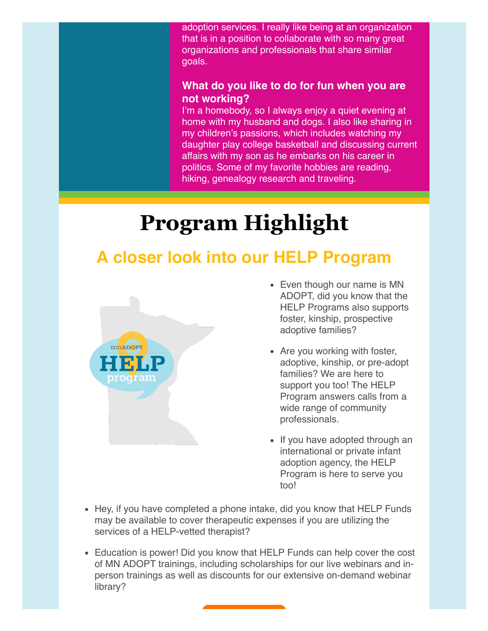adoption services. I really like being at an organization that is in a position to collaborate with so many great organizations and professionals that share similar goals.

### **What do you like to do for fun when you are not working?**

I'm a homebody, so I always enjoy a quiet evening at home with my husband and dogs. I also like sharing in my children's passions, which includes watching my daughter play college basketball and discussing current affairs with my son as he embarks on his career in politics. Some of my favorite hobbies are reading, hiking, genealogy research and traveling.

# **Program Highlight**

# **A closer look into our HELP Program**



- Even though our name is MN ADOPT, did you know that the HELP Programs also supports foster, kinship, prospective adoptive families?
- Are you working with foster, adoptive, kinship, or pre-adopt families? We are here to support you too! The HELP Program answers calls from a wide range of community professionals.
- If you have adopted through an international or private infant adoption agency, the HELP Program is here to serve you too!
- Hey, if you have completed a phone intake, did you know that HELP Funds may be available to cover therapeutic expenses if you are utilizing the services of a HELP-vetted therapist?
- Education is power! Did you know that HELP Funds can help cover the cost of MN ADOPT trainings, including scholarships for our live webinars and inperson trainings as well as discounts for our extensive on-demand webinar library?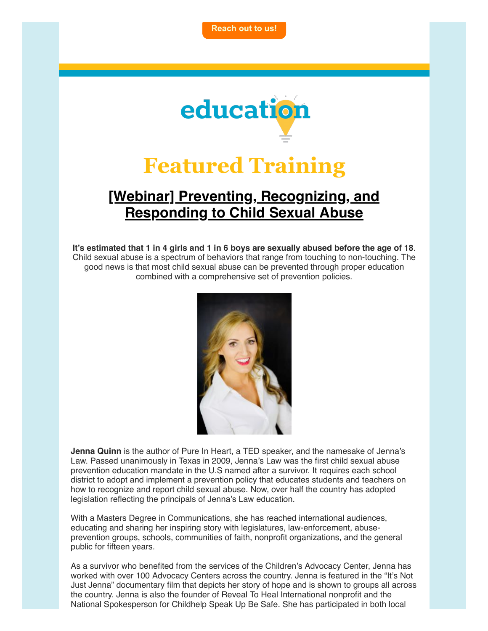

# **Featured Training**

### **[\[Webinar\] Preventing, Recognizing, and](https://education.mnadopt.org/v2/?c=event&id=1736) Responding to Child Sexual Abuse**

**It's estimated that 1 in 4 girls and 1 in 6 boys are sexually abused before the age of 18**. Child sexual abuse is a spectrum of behaviors that range from touching to non-touching. The good news is that most child sexual abuse can be prevented through proper education combined with a comprehensive set of prevention policies.



**Jenna Quinn** is the author of Pure In Heart, a TED speaker, and the namesake of Jenna's Law. Passed unanimously in Texas in 2009, Jenna's Law was the first child sexual abuse prevention education mandate in the U.S named after a survivor. It requires each school district to adopt and implement a prevention policy that educates students and teachers on how to recognize and report child sexual abuse. Now, over half the country has adopted legislation reflecting the principals of Jenna's Law education.

With a Masters Degree in Communications, she has reached international audiences, educating and sharing her inspiring story with legislatures, law-enforcement, abuseprevention groups, schools, communities of faith, nonprofit organizations, and the general public for fifteen years.

As a survivor who benefited from the services of the Children's Advocacy Center, Jenna has worked with over 100 Advocacy Centers across the country. Jenna is featured in the "It's Not Just Jenna" documentary film that depicts her story of hope and is shown to groups all across the country. Jenna is also the founder of Reveal To Heal International nonprofit and the National Spokesperson for Childhelp Speak Up Be Safe. She has participated in both local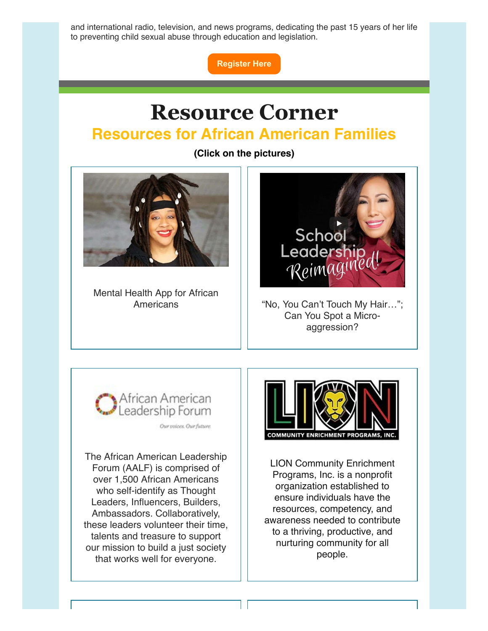and international radio, television, and news programs, dedicating the past 15 years of her life to preventing child sexual abuse through education and legislation.

**[Register Here](https://education.mnadopt.org/v2/?c=event&id=1736)**

# **Resource Corner Resources for African American Families**

**(Click on the pictures)**

1 I



Mental Health App for African



Americans The Mo, You Can't Touch My Hair..."; Can You Spot a Microaggression?



Our voices. Our future.

The African American Leadership Forum (AALF) is comprised of over 1,500 African Americans who self-identify as Thought Leaders, Influencers, Builders, Ambassadors. Collaboratively, these leaders volunteer their time, talents and treasure to support our mission to build a just society that works well for everyone.



LION Community Enrichment Programs, Inc. is a nonprofit organization established to ensure individuals have the resources, competency, and awareness needed to contribute to a thriving, productive, and nurturing community for all people.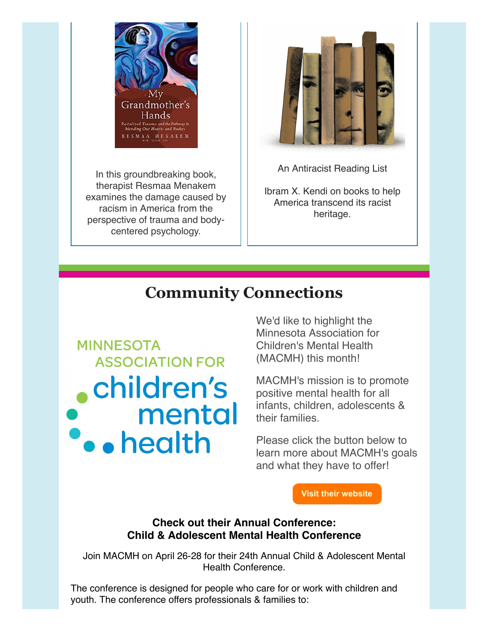

In this groundbreaking book, therapist Resmaa Menakem examines the damage caused by racism in America from the perspective of trauma and bodycentered psychology.



An Antiracist Reading List

Ibram X. Kendi on books to help America transcend its racist heritage.

## **Community Connections**

**MINNESOTA ASSOCIATION FOR** children's **P.** mental We'd like to highlight the Minnesota Association for Children's Mental Health (MACMH) this month!

MACMH's mission is to promote positive mental health for all infants, children, adolescents & their families.

Please click the button below to learn more about MACMH's goals and what they have to offer!

**[Visit their website](https://macmh.org/)**

### **Check out their Annual Conference: Child & Adolescent Mental Health Conference**

Join MACMH on April 26-28 for their 24th Annual Child & Adolescent Mental Health Conference.

The conference is designed for people who care for or work with children and youth. The conference offers professionals & families to: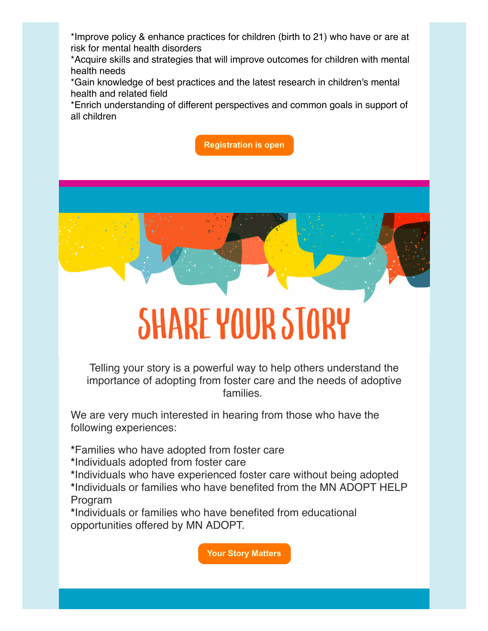\*Improve policy & enhance practices for children (birth to 21) who have or are at risk for mental health disorders

\*Acquire skills and strategies that will improve outcomes for children with mental health needs

\*Gain knowledge of best practices and the latest research in children's mental health and related field

\*Enrich understanding of different perspectives and common goals in support of all children

**[Registration is open](https://macmh.org/event-page/annual-child-adolescent-mental-health-conference/2020-conference-information/)**



# **SHARE YOUR STORY**

Telling your story is a powerful way to help others understand the importance of adopting from foster care and the needs of adoptive families.

We are very much interested in hearing from those who have the following experiences:

**\***Families who have adopted from foster care

**\***Individuals adopted from foster care

**\***Individuals who have experienced foster care without being adopted **\***Individuals or families who have benefited from the MN ADOPT HELP Program

**\***Individuals or families who have benefited from educational opportunities offered by MN ADOPT.

**[Your Story Matters](https://www.mnadopt.org/get-involved/tell-your-story/)**